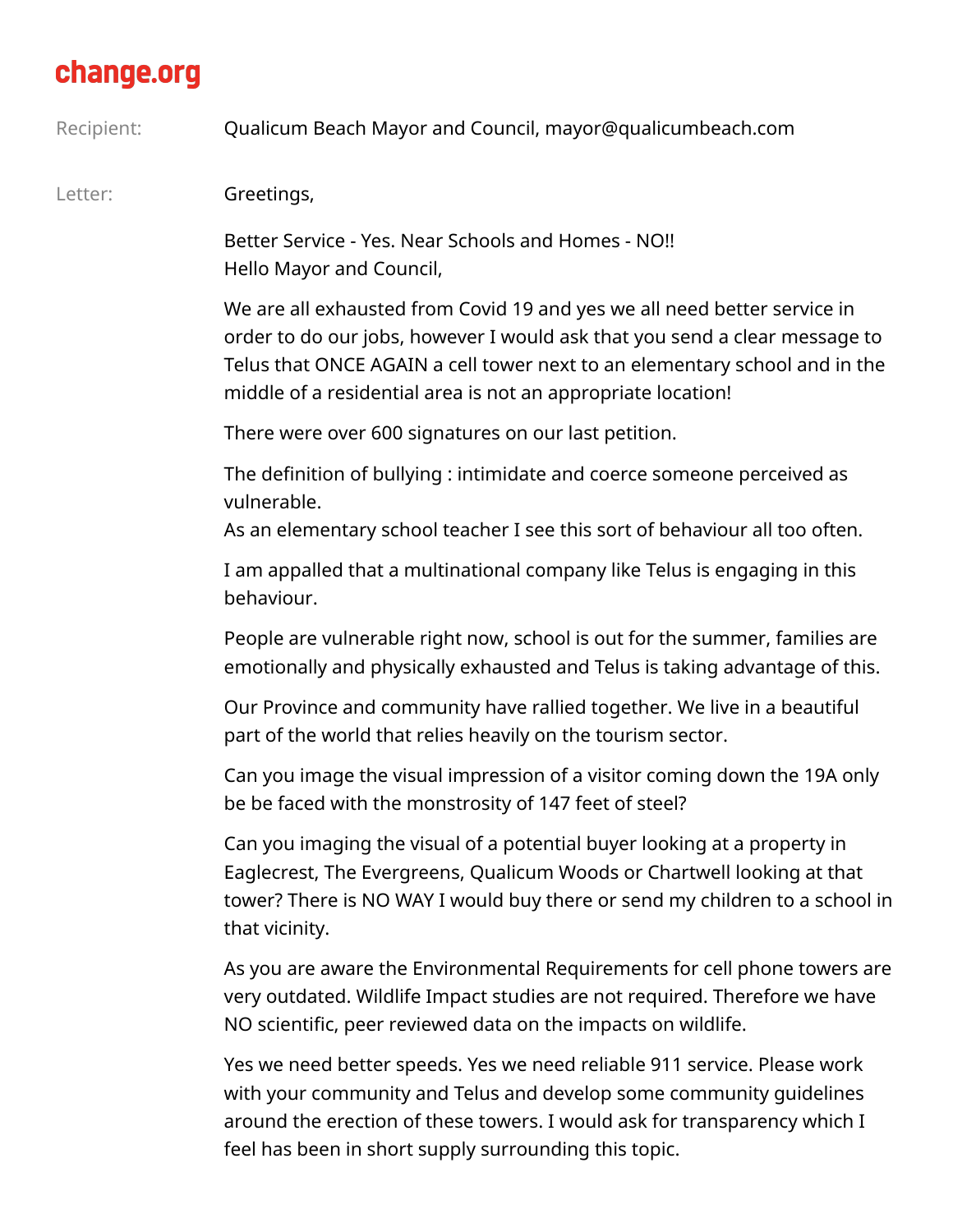## change.org

Recipient: Qualicum Beach Mayor and Council, mayor@qualicumbeach.com

Letter: **Greetings,** 

Better Service - Yes. Near Schools and Homes - NO!! Hello Mayor and Council,

We are all exhausted from Covid 19 and yes we all need better service in order to do our jobs, however I would ask that you send a clear message to Telus that ONCE AGAIN a cell tower next to an elementary school and in the middle of a residential area is not an appropriate location!

There were over 600 signatures on our last petition.

The definition of bullying : intimidate and coerce someone perceived as vulnerable.

As an elementary school teacher I see this sort of behaviour all too often.

I am appalled that a multinational company like Telus is engaging in this behaviour.

People are vulnerable right now, school is out for the summer, families are emotionally and physically exhausted and Telus is taking advantage of this.

Our Province and community have rallied together. We live in a beautiful part of the world that relies heavily on the tourism sector.

Can you image the visual impression of a visitor coming down the 19A only be be faced with the monstrosity of 147 feet of steel?

Can you imaging the visual of a potential buyer looking at a property in Eaglecrest, The Evergreens, Qualicum Woods or Chartwell looking at that tower? There is NO WAY I would buy there or send my children to a school in that vicinity.

As you are aware the Environmental Requirements for cell phone towers are very outdated. Wildlife Impact studies are not required. Therefore we have NO scientific, peer reviewed data on the impacts on wildlife.

Yes we need better speeds. Yes we need reliable 911 service. Please work with your community and Telus and develop some community guidelines around the erection of these towers. I would ask for transparency which I feel has been in short supply surrounding this topic.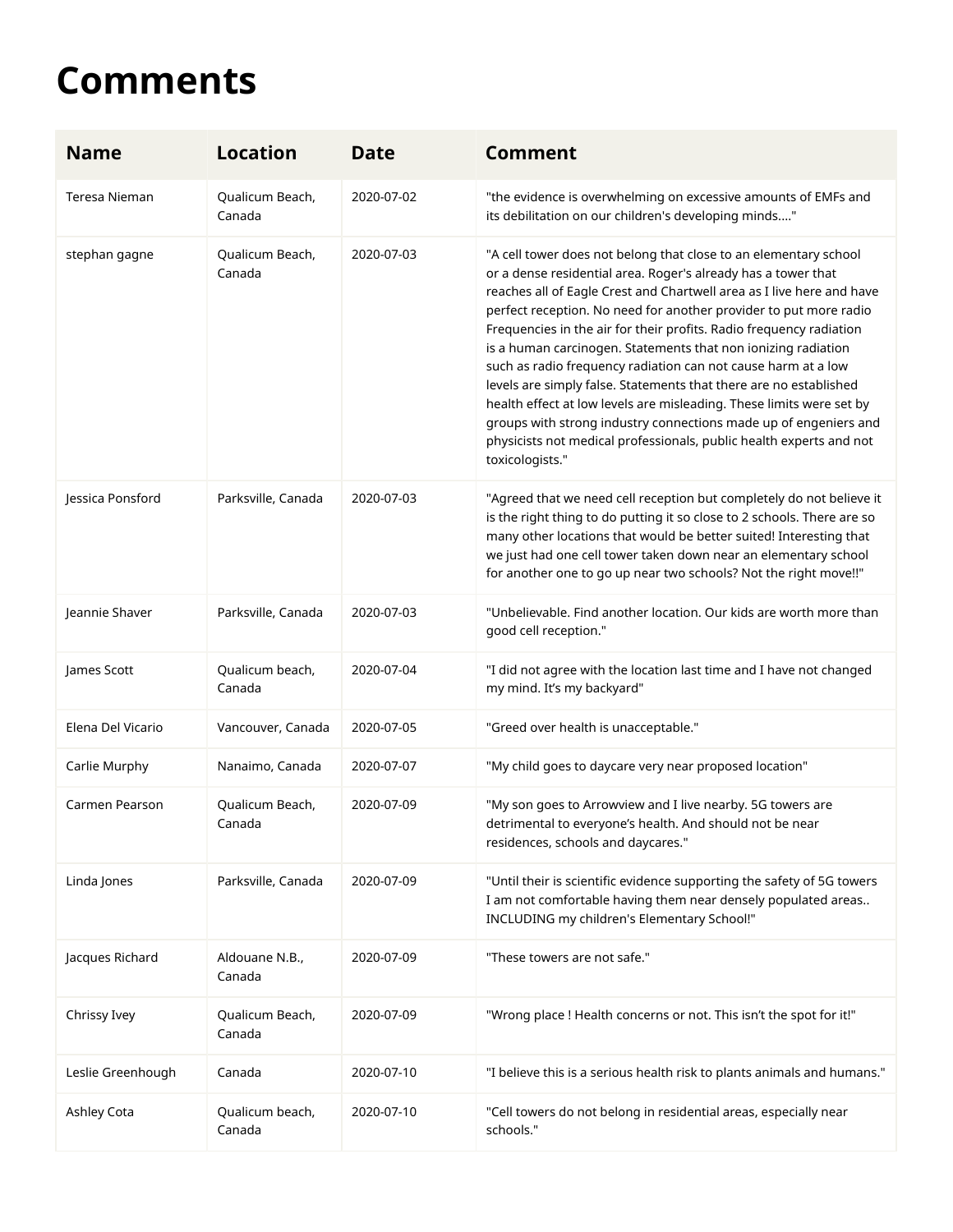## **Comments**

| <b>Name</b>       | <b>Location</b>           | <b>Date</b> | <b>Comment</b>                                                                                                                                                                                                                                                                                                                                                                                                                                                                                                                                                                                                                                                                                                                                                                                      |
|-------------------|---------------------------|-------------|-----------------------------------------------------------------------------------------------------------------------------------------------------------------------------------------------------------------------------------------------------------------------------------------------------------------------------------------------------------------------------------------------------------------------------------------------------------------------------------------------------------------------------------------------------------------------------------------------------------------------------------------------------------------------------------------------------------------------------------------------------------------------------------------------------|
| Teresa Nieman     | Qualicum Beach,<br>Canada | 2020-07-02  | "the evidence is overwhelming on excessive amounts of EMFs and<br>its debilitation on our children's developing minds"                                                                                                                                                                                                                                                                                                                                                                                                                                                                                                                                                                                                                                                                              |
| stephan gagne     | Qualicum Beach,<br>Canada | 2020-07-03  | "A cell tower does not belong that close to an elementary school<br>or a dense residential area. Roger's already has a tower that<br>reaches all of Eagle Crest and Chartwell area as I live here and have<br>perfect reception. No need for another provider to put more radio<br>Frequencies in the air for their profits. Radio frequency radiation<br>is a human carcinogen. Statements that non ionizing radiation<br>such as radio frequency radiation can not cause harm at a low<br>levels are simply false. Statements that there are no established<br>health effect at low levels are misleading. These limits were set by<br>groups with strong industry connections made up of engeniers and<br>physicists not medical professionals, public health experts and not<br>toxicologists." |
| Jessica Ponsford  | Parksville, Canada        | 2020-07-03  | "Agreed that we need cell reception but completely do not believe it<br>is the right thing to do putting it so close to 2 schools. There are so<br>many other locations that would be better suited! Interesting that<br>we just had one cell tower taken down near an elementary school<br>for another one to go up near two schools? Not the right move!!"                                                                                                                                                                                                                                                                                                                                                                                                                                        |
| Jeannie Shaver    | Parksville, Canada        | 2020-07-03  | "Unbelievable. Find another location. Our kids are worth more than<br>good cell reception."                                                                                                                                                                                                                                                                                                                                                                                                                                                                                                                                                                                                                                                                                                         |
| James Scott       | Qualicum beach,<br>Canada | 2020-07-04  | "I did not agree with the location last time and I have not changed<br>my mind. It's my backyard"                                                                                                                                                                                                                                                                                                                                                                                                                                                                                                                                                                                                                                                                                                   |
| Elena Del Vicario | Vancouver, Canada         | 2020-07-05  | "Greed over health is unacceptable."                                                                                                                                                                                                                                                                                                                                                                                                                                                                                                                                                                                                                                                                                                                                                                |
| Carlie Murphy     | Nanaimo, Canada           | 2020-07-07  | "My child goes to daycare very near proposed location"                                                                                                                                                                                                                                                                                                                                                                                                                                                                                                                                                                                                                                                                                                                                              |
| Carmen Pearson    | Qualicum Beach,<br>Canada | 2020-07-09  | "My son goes to Arrowview and I live nearby. 5G towers are<br>detrimental to everyone's health. And should not be near<br>residences, schools and daycares."                                                                                                                                                                                                                                                                                                                                                                                                                                                                                                                                                                                                                                        |
| Linda Jones       | Parksville, Canada        | 2020-07-09  | "Until their is scientific evidence supporting the safety of 5G towers<br>I am not comfortable having them near densely populated areas<br>INCLUDING my children's Elementary School!"                                                                                                                                                                                                                                                                                                                                                                                                                                                                                                                                                                                                              |
| Jacques Richard   | Aldouane N.B.,<br>Canada  | 2020-07-09  | "These towers are not safe."                                                                                                                                                                                                                                                                                                                                                                                                                                                                                                                                                                                                                                                                                                                                                                        |
| Chrissy Ivey      | Qualicum Beach,<br>Canada | 2020-07-09  | "Wrong place ! Health concerns or not. This isn't the spot for it!"                                                                                                                                                                                                                                                                                                                                                                                                                                                                                                                                                                                                                                                                                                                                 |
| Leslie Greenhough | Canada                    | 2020-07-10  | "I believe this is a serious health risk to plants animals and humans."                                                                                                                                                                                                                                                                                                                                                                                                                                                                                                                                                                                                                                                                                                                             |
| Ashley Cota       | Qualicum beach,<br>Canada | 2020-07-10  | "Cell towers do not belong in residential areas, especially near<br>schools."                                                                                                                                                                                                                                                                                                                                                                                                                                                                                                                                                                                                                                                                                                                       |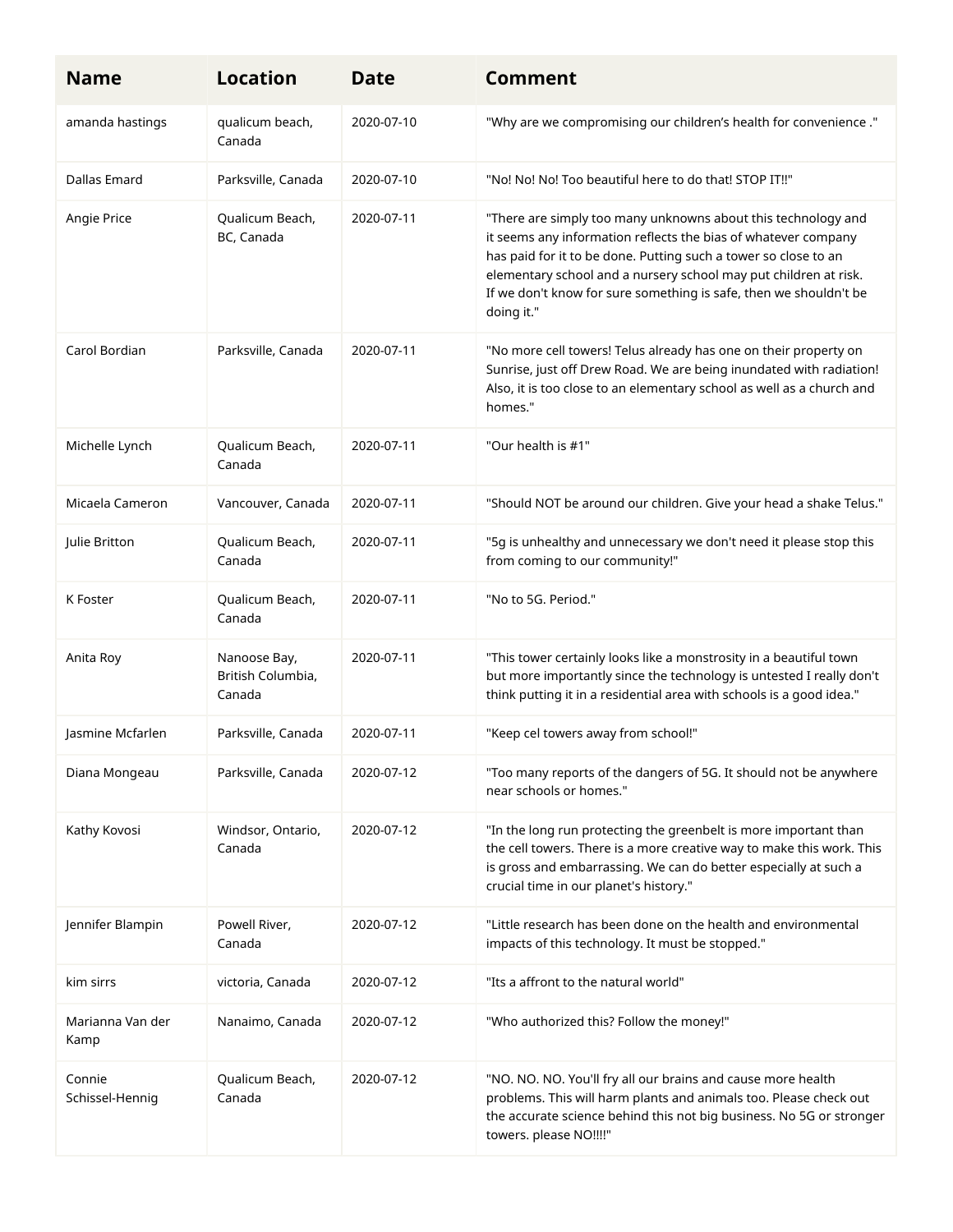| <b>Name</b>               | <b>Location</b>                             | <b>Date</b> | <b>Comment</b>                                                                                                                                                                                                                                                                                                                                            |
|---------------------------|---------------------------------------------|-------------|-----------------------------------------------------------------------------------------------------------------------------------------------------------------------------------------------------------------------------------------------------------------------------------------------------------------------------------------------------------|
| amanda hastings           | qualicum beach,<br>Canada                   | 2020-07-10  | "Why are we compromising our children's health for convenience ."                                                                                                                                                                                                                                                                                         |
| Dallas Emard              | Parksville, Canada                          | 2020-07-10  | "No! No! No! Too beautiful here to do that! STOP IT!!"                                                                                                                                                                                                                                                                                                    |
| Angie Price               | Qualicum Beach,<br>BC, Canada               | 2020-07-11  | "There are simply too many unknowns about this technology and<br>it seems any information reflects the bias of whatever company<br>has paid for it to be done. Putting such a tower so close to an<br>elementary school and a nursery school may put children at risk.<br>If we don't know for sure something is safe, then we shouldn't be<br>doing it." |
| Carol Bordian             | Parksville, Canada                          | 2020-07-11  | "No more cell towers! Telus already has one on their property on<br>Sunrise, just off Drew Road. We are being inundated with radiation!<br>Also, it is too close to an elementary school as well as a church and<br>homes."                                                                                                                               |
| Michelle Lynch            | Qualicum Beach,<br>Canada                   | 2020-07-11  | "Our health is #1"                                                                                                                                                                                                                                                                                                                                        |
| Micaela Cameron           | Vancouver, Canada                           | 2020-07-11  | "Should NOT be around our children. Give your head a shake Telus."                                                                                                                                                                                                                                                                                        |
| Julie Britton             | Qualicum Beach,<br>Canada                   | 2020-07-11  | "5g is unhealthy and unnecessary we don't need it please stop this<br>from coming to our community!"                                                                                                                                                                                                                                                      |
| K Foster                  | Qualicum Beach,<br>Canada                   | 2020-07-11  | "No to 5G. Period."                                                                                                                                                                                                                                                                                                                                       |
| Anita Roy                 | Nanoose Bay,<br>British Columbia,<br>Canada | 2020-07-11  | "This tower certainly looks like a monstrosity in a beautiful town<br>but more importantly since the technology is untested I really don't<br>think putting it in a residential area with schools is a good idea."                                                                                                                                        |
| Jasmine Mcfarlen          | Parksville, Canada                          | 2020-07-11  | "Keep cel towers away from school!"                                                                                                                                                                                                                                                                                                                       |
| Diana Mongeau             | Parksville, Canada                          | 2020-07-12  | "Too many reports of the dangers of 5G. It should not be anywhere<br>near schools or homes."                                                                                                                                                                                                                                                              |
| Kathy Kovosi              | Windsor, Ontario,<br>Canada                 | 2020-07-12  | "In the long run protecting the greenbelt is more important than<br>the cell towers. There is a more creative way to make this work. This<br>is gross and embarrassing. We can do better especially at such a<br>crucial time in our planet's history."                                                                                                   |
| Jennifer Blampin          | Powell River,<br>Canada                     | 2020-07-12  | "Little research has been done on the health and environmental<br>impacts of this technology. It must be stopped."                                                                                                                                                                                                                                        |
| kim sirrs                 | victoria, Canada                            | 2020-07-12  | "Its a affront to the natural world"                                                                                                                                                                                                                                                                                                                      |
| Marianna Van der<br>Kamp  | Nanaimo, Canada                             | 2020-07-12  | "Who authorized this? Follow the money!"                                                                                                                                                                                                                                                                                                                  |
| Connie<br>Schissel-Hennig | Qualicum Beach,<br>Canada                   | 2020-07-12  | "NO. NO. NO. You'll fry all our brains and cause more health<br>problems. This will harm plants and animals too. Please check out<br>the accurate science behind this not big business. No 5G or stronger<br>towers. please NO!!!!"                                                                                                                       |